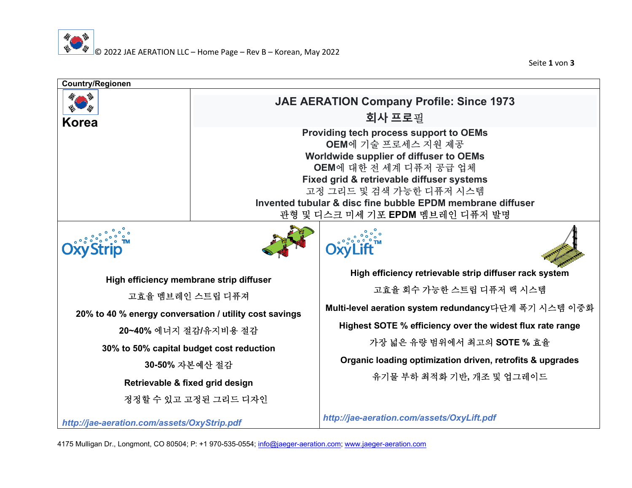Seite **1** von **3**



4175 Mulligan Dr., Longmont, CO 80504; P: +1 970-535-0554; info@jaeger-aeration.com; www.jaeger-aeration.com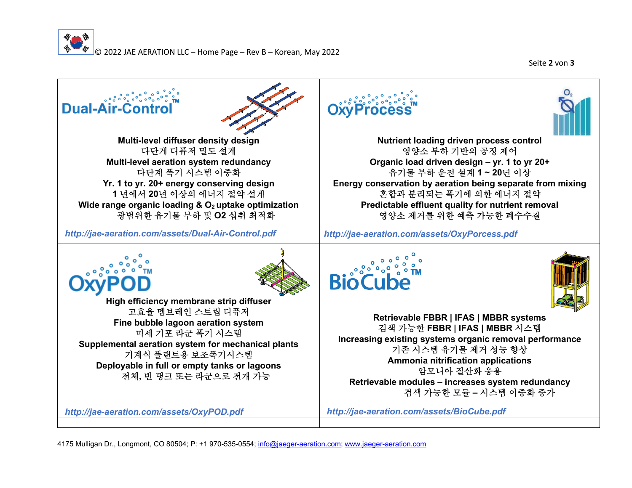

Seite **2** von **3**



**Nutrient loading driven process control** 영양소 부하 기반의 공정 제어<br>Joad driven design = vr. 1 t **Organic load driven design – yr. 1 to yr 20+** 유기물 부하 운전 설계 **1 ~ 20**<sup>년</sup> 이상 **Energy conservation by aeration being separate from mixing** 혼합과 분리되는 폭기에 의한 에너지 절약<br>lictable effluent quality for nutrient rem **Predictable effluent quality for nutrient removal** 영양소 제거를 위한 예측 가능한 폐수수질

*http://jae-aeration.com/assets/OxyPorcess.pdf*



**Retrievable FBBR | IFAS | MBBR systems** 검색 가능한 **FBBR | IFAS | MBBR** 시스템 **Increasing existing systems organic removal performance** 기존 시스템 유기물 제거 성능 향상<br>.mmonia nitrification annlication **Ammonia nitrification applications** 암모니아 질산화 응용<br>ules – increases svs **Retrievable modules – increases system redundancy** 검색 가능한 모듈 **–** 시스템 이중화 증가

*http://jae-aeration.com/assets/BioCube.pdf*